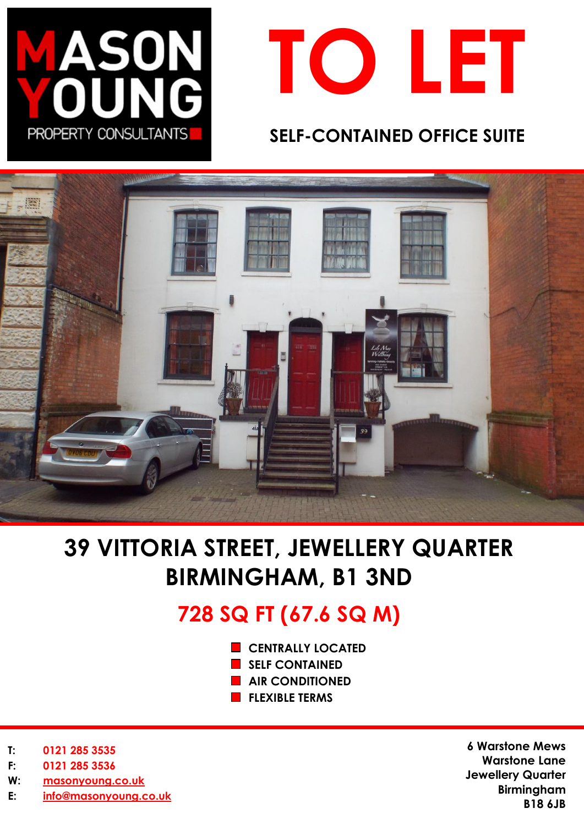



### **SELF-CONTAINED OFFICE SUITE**



# **39 VITTORIA STREET, JEWELLERY QUARTER BIRMINGHAM, B1 3ND**

## **728 SQ FT (67.6 SQ M)**

- **CENTRALLY LOCATED**
- **SELF CONTAINED**
- **AIR CONDITIONED**
- **FLEXIBLE TERMS**

- **T: 0121 285 3535**
- **F: 0121 285 3536**
- **W: [masonyoung.co.uk](http://www.masonyoung.co.uk/)**
- **E: [info@masonyoung.co.uk](mailto:info@masonyoung.co.uk)**

**6 Warstone Mews Warstone Lane Jewellery Quarter Birmingham B18 6JB**